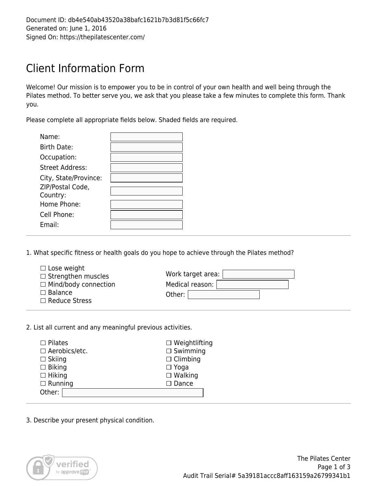## Client Information Form

Welcome! Our mission is to empower you to be in control of your own health and well being through the Pilates method. To better serve you, we ask that you please take a few minutes to complete this form. Thank you.

Please complete all appropriate fields below. Shaded fields are required.

| Name:                  |  |
|------------------------|--|
| Birth Date:            |  |
| Occupation:            |  |
| <b>Street Address:</b> |  |
| City, State/Province:  |  |
| ZIP/Postal Code,       |  |
| Country:               |  |
| Home Phone:            |  |
| Cell Phone:            |  |
| $F$ mail·              |  |

1. What specific fitness or health goals do you hope to achieve through the Pilates method?

| $\Box$ Lose weight          |                   |
|-----------------------------|-------------------|
| $\Box$ Strengthen muscles   | Work target area: |
| $\Box$ Mind/body connection | Medical reason:   |
| $\Box$ Balance              | Other:            |
| $\Box$ Reduce Stress        |                   |

2. List all current and any meaningful previous activities.

| $\Box$ Pilates  | $\Box$ Weightlifting |
|-----------------|----------------------|
| □ Aerobics/etc. | $\Box$ Swimming      |
| $\Box$ Skiing   | $\Box$ Climbing      |
| $\Box$ Biking   | $\Box$ Yoga          |
| $\Box$ Hiking   | $\Box$ Walking       |
| $\Box$ Running  | $\square$ Dance      |
| Other:          |                      |
|                 |                      |

3. Describe your present physical condition.

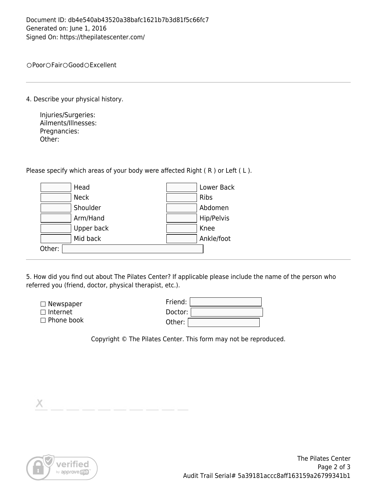OPoor OFair OGood OExcellent

4. Describe your physical history.

Injuries/Surgeries: Ailments/Illnesses: Pregnancies: Other:

Please specify which areas of your body were affected Right (R) or Left (L).

|        | Head        | Lower Back |
|--------|-------------|------------|
|        | <b>Neck</b> | Ribs       |
|        | Shoulder    | Abdomen    |
|        | Arm/Hand    | Hip/Pelvis |
|        | Upper back  | Knee       |
|        | Mid back    | Ankle/foot |
| Other: |             |            |

5. How did you find out about The Pilates Center? If applicable please include the name of the person who referred you (friend, doctor, physical therapist, etc.).

| $\Box$ Newspaper  | Friend: |
|-------------------|---------|
| $\Box$ Internet   | Doctor: |
| $\Box$ Phone book | Other:  |

Copyright © The Pilates Center. This form may not be reproduced.

X